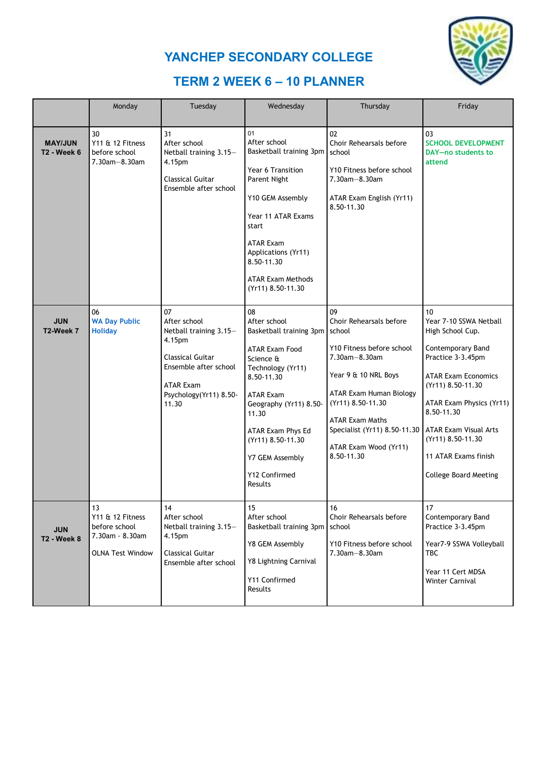



## **TERM 2 WEEK 6 – 10 PLANNER**

|                                      | Monday                                                                                | Tuesday                                                                                                                                                    | Wednesday                                                                                                                                                                                                                                                              | Thursday                                                                                                                                                                                                                                                       | Friday                                                                                                                                                                                                                                                                                               |
|--------------------------------------|---------------------------------------------------------------------------------------|------------------------------------------------------------------------------------------------------------------------------------------------------------|------------------------------------------------------------------------------------------------------------------------------------------------------------------------------------------------------------------------------------------------------------------------|----------------------------------------------------------------------------------------------------------------------------------------------------------------------------------------------------------------------------------------------------------------|------------------------------------------------------------------------------------------------------------------------------------------------------------------------------------------------------------------------------------------------------------------------------------------------------|
|                                      |                                                                                       |                                                                                                                                                            |                                                                                                                                                                                                                                                                        |                                                                                                                                                                                                                                                                |                                                                                                                                                                                                                                                                                                      |
| <b>MAY/JUN</b><br><b>T2 - Week 6</b> | 30<br>Y11 & 12 Fitness<br>before school<br>7.30am-8.30am                              | 31<br>After school<br>Netball training 3.15-<br>4.15pm<br><b>Classical Guitar</b><br>Ensemble after school                                                 | 01<br>After school<br>Basketball training 3pm<br>Year 6 Transition<br>Parent Night<br>Y10 GEM Assembly<br>Year 11 ATAR Exams<br>start<br><b>ATAR Exam</b><br>Applications (Yr11)<br>8.50-11.30<br><b>ATAR Exam Methods</b><br>(Yr11) 8.50-11.30                        | 02<br>Choir Rehearsals before<br>school<br>Y10 Fitness before school<br>$7.30am - 8.30am$<br>ATAR Exam English (Yr11)<br>8.50-11.30                                                                                                                            | 03<br><b>SCHOOL DEVELOPMENT</b><br>DAY-no students to<br>attend                                                                                                                                                                                                                                      |
| <b>JUN</b><br>T2-Week 7              | 06<br><b>WA Day Public</b><br><b>Holiday</b>                                          | 07<br>After school<br>Netball training 3.15-<br>4.15pm<br>Classical Guitar<br>Ensemble after school<br><b>ATAR Exam</b><br>Psychology(Yr11) 8.50-<br>11.30 | 08<br>After school<br>Basketball training 3pm<br><b>ATAR Exam Food</b><br>Science &<br>Technology (Yr11)<br>8.50-11.30<br><b>ATAR Exam</b><br>Geography (Yr11) 8.50-<br>11.30<br>ATAR Exam Phys Ed<br>(Yr11) 8.50-11.30<br>Y7 GEM Assembly<br>Y12 Confirmed<br>Results | 09<br>Choir Rehearsals before<br>school<br>Y10 Fitness before school<br>7.30am-8.30am<br>Year 9 & 10 NRL Boys<br>ATAR Exam Human Biology<br>(Yr11) 8.50-11.30<br><b>ATAR Exam Maths</b><br>Specialist (Yr11) 8.50-11.30<br>ATAR Exam Wood (Yr11)<br>8.50-11.30 | 10<br>Year 7-10 SSWA Netball<br>High School Cup.<br>Contemporary Band<br>Practice 3-3.45pm<br><b>ATAR Exam Economics</b><br>(Yr11) 8.50-11.30<br>ATAR Exam Physics (Yr11)<br>8.50-11.30<br><b>ATAR Exam Visual Arts</b><br>(Yr11) 8.50-11.30<br>11 ATAR Exams finish<br><b>College Board Meeting</b> |
| <b>JUN</b><br><b>T2 - Week 8</b>     | 13<br>Y11 & 12 Fitness<br>before school<br>7.30am - 8.30am<br><b>OLNA Test Window</b> | 14<br>After school<br>Netball training 3.15-<br>4.15pm<br><b>Classical Guitar</b><br>Ensemble after school                                                 | 15<br>After school<br>Basketball training 3pm<br>Y8 GEM Assembly<br>Y8 Lightning Carnival<br>Y11 Confirmed<br>Results                                                                                                                                                  | 16<br>Choir Rehearsals before<br>school<br>Y10 Fitness before school<br>7.30am-8.30am                                                                                                                                                                          | 17<br>Contemporary Band<br>Practice 3-3.45pm<br>Year7-9 SSWA Volleyball<br>TBC<br>Year 11 Cert MDSA<br>Winter Carnival                                                                                                                                                                               |